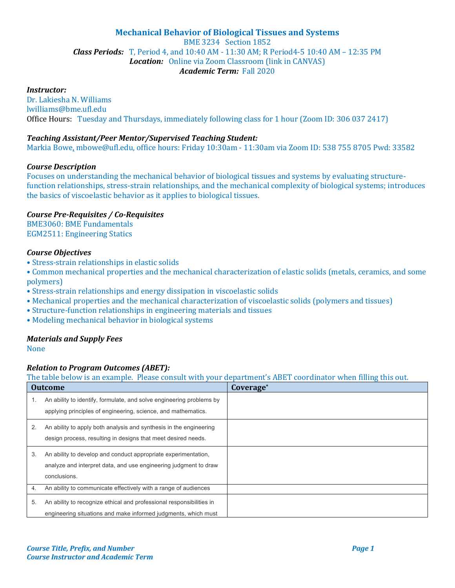# **Mechanical Behavior of Biological Tissues and Systems BME 3234 Section 1852** *Class Periods:* T, Period 4, and 10:40 AM - 11:30 AM; R Period4-5 10:40 AM – 12:35 PM **Location:** Online via Zoom Classroom (link in CANVAS) *Academic Term:* Fall 2020

# *Instructor:*

Dr. Lakiesha N. Williams lwilliams@bme.ufl.edu Office Hours: Tuesday and Thursdays, immediately following class for 1 hour (Zoom ID: 306 037 2417)

### *Teaching Assistant/Peer Mentor/Supervised Teaching Student:*

Markia Bowe, mbowe@ufl.edu, office hours: Friday 10:30am - 11:30am via Zoom ID: 538 755 8705 Pwd: 33582

### *Course Description*

Focuses on understanding the mechanical behavior of biological tissues and systems by evaluating structurefunction relationships, stress-strain relationships, and the mechanical complexity of biological systems; introduces the basics of viscoelastic behavior as it applies to biological tissues.

# *Course Pre-Requisites / Co-Requisites*

BME3060: BME Fundamentals EGM2511: Engineering Statics

### *Course Objectives*

• Stress-strain relationships in elastic solids

• Common mechanical properties and the mechanical characterization of elastic solids (metals, ceramics, and some polymers)

- Stress-strain relationships and energy dissipation in viscoelastic solids
- Mechanical properties and the mechanical characterization of viscoelastic solids (polymers and tissues)
- Structure-function relationships in engineering materials and tissues
- Modeling mechanical behavior in biological systems

# *Materials and Supply Fees*

None

# *Relation to Program Outcomes (ABET):*

The table below is an example. Please consult with your department's ABET coordinator when filling this out.

| <b>Outcome</b> |                                                                                                                                                    | Coverage <sup>*</sup> |
|----------------|----------------------------------------------------------------------------------------------------------------------------------------------------|-----------------------|
| 1.             | An ability to identify, formulate, and solve engineering problems by<br>applying principles of engineering, science, and mathematics.              |                       |
| 2.             | An ability to apply both analysis and synthesis in the engineering<br>design process, resulting in designs that meet desired needs.                |                       |
| 3.             | An ability to develop and conduct appropriate experimentation,<br>analyze and interpret data, and use engineering judgment to draw<br>conclusions. |                       |
| 4.             | An ability to communicate effectively with a range of audiences                                                                                    |                       |
| 5.             | An ability to recognize ethical and professional responsibilities in<br>engineering situations and make informed judgments, which must             |                       |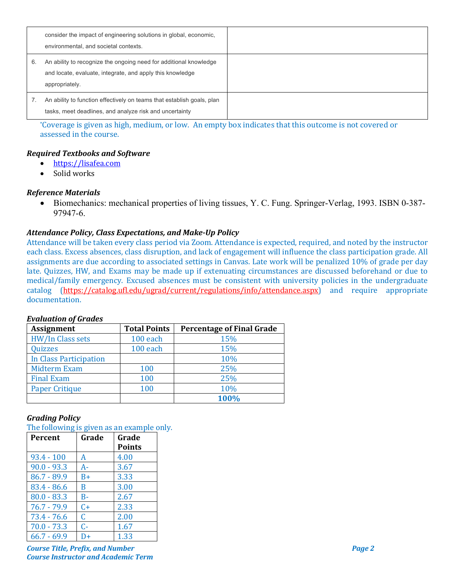|    | consider the impact of engineering solutions in global, economic,<br>environmental, and societal contexts.                                       |  |
|----|--------------------------------------------------------------------------------------------------------------------------------------------------|--|
| 6. | An ability to recognize the ongoing need for additional knowledge<br>and locate, evaluate, integrate, and apply this knowledge<br>appropriately. |  |
|    | An ability to function effectively on teams that establish goals, plan<br>tasks, meet deadlines, and analyze risk and uncertainty                |  |

\*Coverage is given as high, medium, or low. An empty box indicates that this outcome is not covered or assessed in the course.

# *Required Textbooks and Software*

- https://lisafea.com
- Solid works

# *Reference Materials*

• Biomechanics: mechanical properties of living tissues, Y. C. Fung. Springer-Verlag, 1993. ISBN 0-387- 97947-6.

# *Attendance Policy, Class Expectations, and Make-Up Policy*

Attendance will be taken every class period via Zoom. Attendance is expected, required, and noted by the instructor each class. Excess absences, class disruption, and lack of engagement will influence the class participation grade. All assignments are due according to associated settings in Canvas. Late work will be penalized 10% of grade per day late. Quizzes, HW, and Exams may be made up if extenuating circumstances are discussed beforehand or due to medical/family emergency. Excused absences must be consistent with university policies in the undergraduate catalog (https://catalog.ufl.edu/ugrad/current/regulations/info/attendance.aspx) and require appropriate documentation.

# *Evaluation of Grades*

| <b>Assignment</b>             | <b>Total Points</b> | <b>Percentage of Final Grade</b> |
|-------------------------------|---------------------|----------------------------------|
| HW/In Class sets              | 100 each            | 15%                              |
| Quizzes                       | 100 each            | 15%                              |
| <b>In Class Participation</b> |                     | 10%                              |
| <b>Midterm Exam</b>           | <b>100</b>          | 25%                              |
| <b>Final Exam</b>             | 100                 | 25%                              |
| <b>Paper Critique</b>         | 100                 | 10%                              |
|                               |                     | 100%                             |

### *Grading Policy*

The following is given as an example only.

| <b>Percent</b> | Grade | Grade         |
|----------------|-------|---------------|
|                |       | <b>Points</b> |
| $93.4 - 100$   | A     | 4.00          |
| $90.0 - 93.3$  | $A-$  | 3.67          |
| $86.7 - 89.9$  | $B+$  | 3.33          |
| $83.4 - 86.6$  | B     | 3.00          |
| $80.0 - 83.3$  | $B-$  | 2.67          |
| $76.7 - 79.9$  | $C+$  | 2.33          |
| $73.4 - 76.6$  | C     | 2.00          |
| $70.0 - 73.3$  | $C-$  | 1.67          |
| $66.7 - 69.9$  |       | 1.33          |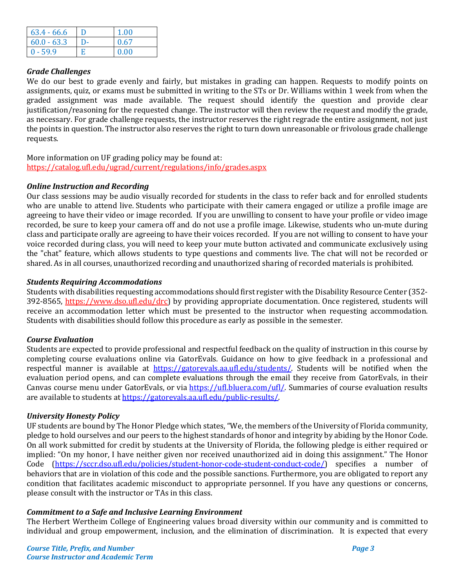| $63.4 - 66.6$ | 1.00 |
|---------------|------|
| $60.0 - 63.3$ | 0.67 |
| $0 - 59.9$    | 0.00 |

# *Grade Challenges*

We do our best to grade evenly and fairly, but mistakes in grading can happen. Requests to modify points on assignments, quiz, or exams must be submitted in writing to the STs or Dr. Williams within 1 week from when the graded assignment was made available. The request should identify the question and provide clear justification/reasoning for the requested change. The instructor will then review the request and modify the grade, as necessary. For grade challenge requests, the instructor reserves the right regrade the entire assignment, not just the points in question. The instructor also reserves the right to turn down unreasonable or frivolous grade challenge requests.

More information on UF grading policy may be found at: https://catalog.ufl.edu/ugrad/current/regulations/info/grades.aspx

### **Online Instruction and Recording**

Our class sessions may be audio visually recorded for students in the class to refer back and for enrolled students who are unable to attend live. Students who participate with their camera engaged or utilize a profile image are agreeing to have their video or image recorded. If you are unwilling to consent to have your profile or video image recorded, be sure to keep your camera off and do not use a profile image. Likewise, students who un-mute during class and participate orally are agreeing to have their voices recorded. If you are not willing to consent to have your voice recorded during class, you will need to keep your mute button activated and communicate exclusively using the "chat" feature, which allows students to type questions and comments live. The chat will not be recorded or shared. As in all courses, unauthorized recording and unauthorized sharing of recorded materials is prohibited.

### *Students Requiring Accommodations*

Students with disabilities requesting accommodations should first register with the Disability Resource Center (352-392-8565, https://www.dso.ufl.edu/drc) by providing appropriate documentation. Once registered, students will receive an accommodation letter which must be presented to the instructor when requesting accommodation. Students with disabilities should follow this procedure as early as possible in the semester.

### *Course Evaluation*

Students are expected to provide professional and respectful feedback on the quality of instruction in this course by completing course evaluations online via GatorEvals. Guidance on how to give feedback in a professional and respectful manner is available at https://gatorevals.aa.ufl.edu/students/. Students will be notified when the evaluation period opens, and can complete evaluations through the email they receive from GatorEvals, in their Canvas course menu under GatorEvals, or via https://ufl.bluera.com/ufl/. Summaries of course evaluation results are available to students at https://gatorevals.aa.ufl.edu/public-results/.

### *University Honesty Policy*

UF students are bound by The Honor Pledge which states, "We, the members of the University of Florida community, pledge to hold ourselves and our peers to the highest standards of honor and integrity by abiding by the Honor Code. On all work submitted for credit by students at the University of Florida, the following pledge is either required or implied: "On my honor, I have neither given nor received unauthorized aid in doing this assignment." The Honor Code (https://sccr.dso.ufl.edu/policies/student-honor-code-student-conduct-code/) specifies a number of behaviors that are in violation of this code and the possible sanctions. Furthermore, you are obligated to report any condition that facilitates academic misconduct to appropriate personnel. If you have any questions or concerns, please consult with the instructor or TAs in this class.

### *Commitment to a Safe and Inclusive Learning Environment*

The Herbert Wertheim College of Engineering values broad diversity within our community and is committed to individual and group empowerment, inclusion, and the elimination of discrimination. It is expected that every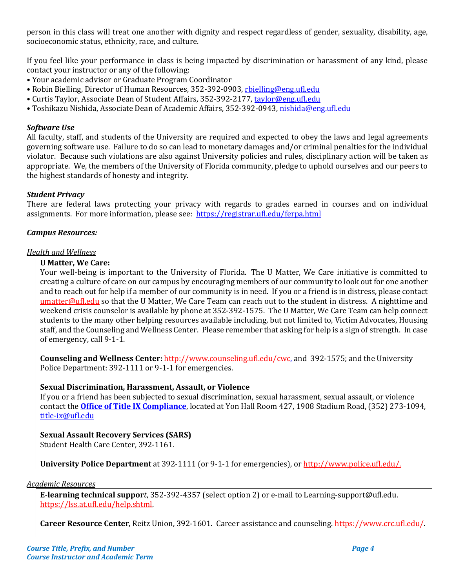person in this class will treat one another with dignity and respect regardless of gender, sexuality, disability, age, socioeconomic status, ethnicity, race, and culture.

If you feel like your performance in class is being impacted by discrimination or harassment of any kind, please contact your instructor or any of the following:

- Your academic advisor or Graduate Program Coordinator
- Robin Bielling, Director of Human Resources, 352-392-0903, rbielling@eng.ufl.edu
- Curtis Taylor, Associate Dean of Student Affairs, 352-392-2177, taylor@eng.ufl.edu
- Toshikazu Nishida, Associate Dean of Academic Affairs, 352-392-0943, nishida@eng.ufl.edu

### *Software Use*

All faculty, staff, and students of the University are required and expected to obey the laws and legal agreements governing software use. Failure to do so can lead to monetary damages and/or criminal penalties for the individual violator. Because such violations are also against University policies and rules, disciplinary action will be taken as appropriate. We, the members of the University of Florida community, pledge to uphold ourselves and our peers to the highest standards of honesty and integrity.

### *Student Privacy*

There are federal laws protecting your privacy with regards to grades earned in courses and on individual assignments. For more information, please see: https://registrar.ufl.edu/ferpa.html

### *Campus Resources:*

#### **Health and Wellness**

#### **U Matter, We Care:**

Your well-being is important to the University of Florida. The U Matter, We Care initiative is committed to creating a culture of care on our campus by encouraging members of our community to look out for one another and to reach out for help if a member of our community is in need. If you or a friend is in distress, please contact umatter@ufl.edu so that the U Matter, We Care Team can reach out to the student in distress. A nighttime and weekend crisis counselor is available by phone at 352-392-1575. The U Matter, We Care Team can help connect students to the many other helping resources available including, but not limited to, Victim Advocates, Housing staff, and the Counseling and Wellness Center. Please remember that asking for help is a sign of strength. In case of emergency, call 9-1-1.

**Counseling and Wellness Center:** http://www.counseling.ufl.edu/cwc, and 392-1575; and the University Police Department: 392-1111 or 9-1-1 for emergencies.

### **Sexual Discrimination, Harassment, Assault, or Violence**

If you or a friend has been subjected to sexual discrimination, sexual harassment, sexual assault, or violence contact the **Office of Title IX Compliance**, located at Yon Hall Room 427, 1908 Stadium Road, (352) 273-1094, title-ix@ufl.edu

### **Sexual Assault Recovery Services (SARS)**

Student Health Care Center, 392-1161.

**University Police Department** at 392-1111 (or 9-1-1 for emergencies), or http://www.police.ufl.edu/.

#### *Academic Resources*

**E-learning technical suppor***t*, 352-392-4357 (select option 2) or e-mail to Learning-support@ufl.edu. https://lss.at.ufl.edu/help.shtml.

**Career Resource Center**, Reitz Union, 392-1601. Career assistance and counseling. https://www.crc.ufl.edu/.